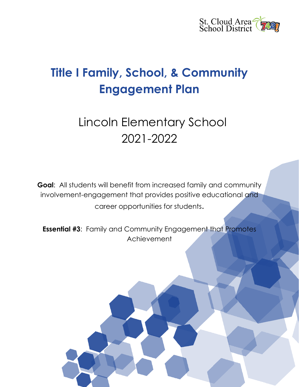

# **Title I Family, School, & Community Engagement Plan**

# Lincoln Elementary School 2021-2022

**Goal**: All students will benefit from increased family and community involvement-engagement that provides positive educational and career opportunities for students.

**Essential #3**: Family and Community Engagement that Promotes Achievement

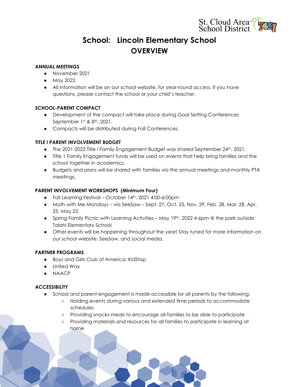

# **School: Lincoln Elementary School OVERVIEW**

### **ANNUAL MEETINGS**

- November 2021
- May 2022
- All information will be on our school website, for year-round access. If you have questions, please contact the school or your child's teacher.

### **SCHOOL-PARENT COMPACT**

- Development of the compact will take place during Goal Setting Conferences September 1st & 8th, 2021.
- Compacts will be distributed during Fall Conferences.

# **TITLE I PARENT INVOLVEMENT BUDGET**

- The 2021-2022 Title I Family Engagement Budget was shared September 24th, 2021.
- Title 1 Family Engagement funds will be used on events that help bring families and the school together in academics.
- Budgets and plans will be shared with families via the annual meetings and monthly PTA meetings.

### **PARENT INVOLVEMENT WORKSHOPS (Minimum Four)**

- Fall Learning Festival October 14th, 2021 4:00-6:00pm
- Math with Me Mondays via SeeSaw Sept. 27, Oct. 25, Nov. 29, Feb. 28, Mar. 28, Apr. 25, May 23
- Spring Family Picnic with Learning Activities May 19th, 2022 4-6pm  $\circledcirc$  the park outside Talahi Elementary School
- Other events will be happening throughout the year! Stay tuned for more information on our school website, SeeSaw, and social media.

#### **PARTNER PROGRAMS**

- Boys and Girls Club of America; KidStop
- United Way
- NAACP

# **ACCESSIBILITY**

- School and parent engagement is made accessible for all parents by the following:
	- Holding events during various and extended time periods to accommodate schedules
	- Providing snacks-meals to encourage all families to be able to participate
	- Providing materials and resources for all families to participate in learning at home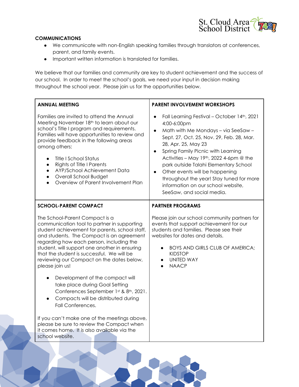

# **COMMUNICATIONS**

- We communicate with non-English speaking families through translators at conferences, parent, and family events.
- Important written information is translated for families.

We believe that our families and community are key to student achievement and the success of our school. In order to meet the school's goals, we need your input in decision making throughout the school year. Please join us for the opportunities below.

| <b>ANNUAL MEETING</b>                                                                                                                                                                                                                                                                                                                                                                                                                                                                                                                                                                                                                                                                                                                                             | <b>PARENT INVOLVEMENT WORKSHOPS</b>                                                                                                                                                                                                                                                                                                                                                                                                                                          |
|-------------------------------------------------------------------------------------------------------------------------------------------------------------------------------------------------------------------------------------------------------------------------------------------------------------------------------------------------------------------------------------------------------------------------------------------------------------------------------------------------------------------------------------------------------------------------------------------------------------------------------------------------------------------------------------------------------------------------------------------------------------------|------------------------------------------------------------------------------------------------------------------------------------------------------------------------------------------------------------------------------------------------------------------------------------------------------------------------------------------------------------------------------------------------------------------------------------------------------------------------------|
| Families are invited to attend the Annual<br>Meeting November 18th to learn about our<br>school's Title I program and requirements.<br>Families will have opportunities to review and<br>provide feedback in the following areas<br>among others:<br>Title I School Status<br>Rights of Title I Parents<br>AYP/School Achievement Data<br>Overall School Budget<br>$\bullet$<br>Overview of Parent Involvement Plan                                                                                                                                                                                                                                                                                                                                               | Fall Learning Festival - October 14th, 2021<br>$\bullet$<br>4:00-6:00pm<br>Math with Me Mondays - via SeeSaw -<br>$\bullet$<br>Sept. 27, Oct. 25, Nov. 29, Feb. 28, Mar.<br>28, Apr. 25, May 23<br>Spring Family Picnic with Learning<br>Activities - May 19th, 2022 4-6pm $@$ the<br>park outside Talahi Elementary School<br>Other events will be happening<br>throughout the year! Stay tuned for more<br>information on our school website,<br>SeeSaw, and social media. |
| <b>SCHOOL-PARENT COMPACT</b><br>The School-Parent Compact is a<br>communication tool to partner in supporting<br>student achievement for parents, school staff,<br>and students. The Compact is an agreement<br>regarding how each person, including the<br>student, will support one another in ensuring<br>that the student is successful. We will be<br>reviewing our Compact on the dates below,<br>please join us!<br>Development of the compact will<br>take place during Goal Setting<br>Conferences September 1st & 8th, 2021.<br>Compacts will be distributed during<br>Fall Conferences.<br>If you can't make one of the meetings above,<br>please be sure to review the Compact when<br>it comes home. It is also available via the<br>school website. | <b>PARTNER PROGRAMS</b><br>Please join our school community partners for<br>events that support achievement for our<br>students and families. Please see their<br>websites for dates and details.<br>BOYS AND GIRLS CLUB OF AMERICA;<br><b>KIDSTOP</b><br><b>UNITED WAY</b><br>$\bullet$<br><b>NAACP</b>                                                                                                                                                                     |